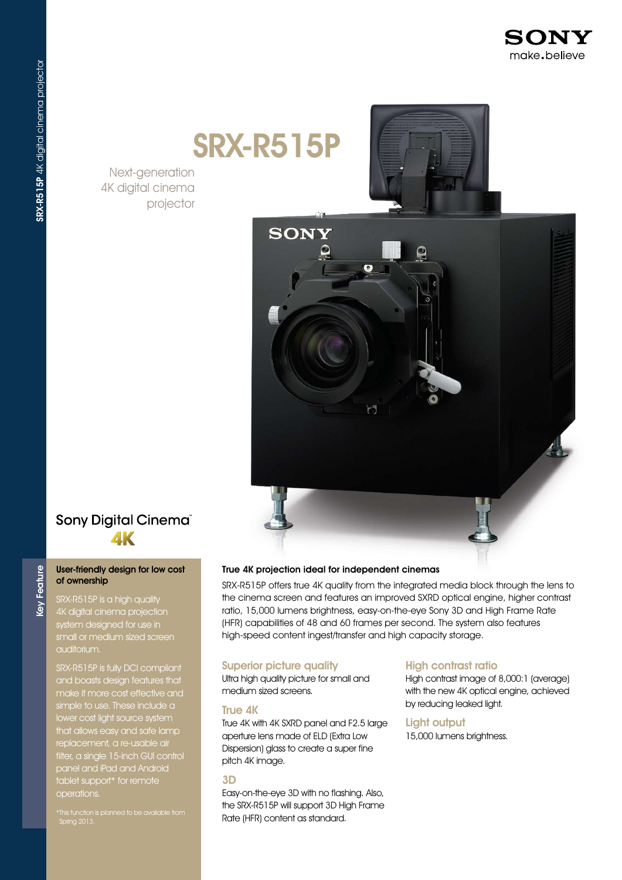

# SRX-R515P

Next-generation 4K digital cinema projector





#### True 4K projection ideal for independent cinemas

SRX-R515P offers true 4K quality from the integrated media block through the lens to the cinema screen and features an improved SXRD optical engine, higher contrast ratio, 15,000 lumens brightness, easy-on-the-eye Sony 3D and High Frame Rate (HFR) capabilities of 48 and 60 frames per second. The system also features high-speed content ingest/transfer and high capacity storage.

#### Superior picture quality

Ultra high quality picture for small and medium sized screens.

#### True 4K

True 4K with 4K SXRD panel and F2.5 large aperture lens made of ELD (Extra Low Dispersion) glass to create a super fine pitch 4K image.

#### 3D

Easy-on-the-eye 3D with no flashing. Also, the SRX-R515P will support 3D High Frame Rate (HFR) content as standard.

#### High contrast ratio

High contrast image of 8,000:1 (average) with the new 4K optical engine, achieved by reducing leaked light.

#### Light output

15,000 lumens brightness.

### Sony Digital Cinema®  $\mathbf{A}\mathbf{K}$

#### User-friendly design for low cost of ownership

Feature

Key<sup>1</sup>

SRX-R515P is a high quality 4K digital cinema projection system designed for use in small or medium sized screen auditorium.

SRX-R515P is fully DCI compliant and boasts design features that simple to use. These include a lower cost light source system that allows easy and safe lamp replacement, a re-usable air filter, a single 15-inch GUI control panel and iPad and Android tablet support\* for remote operations.

Spring 2013.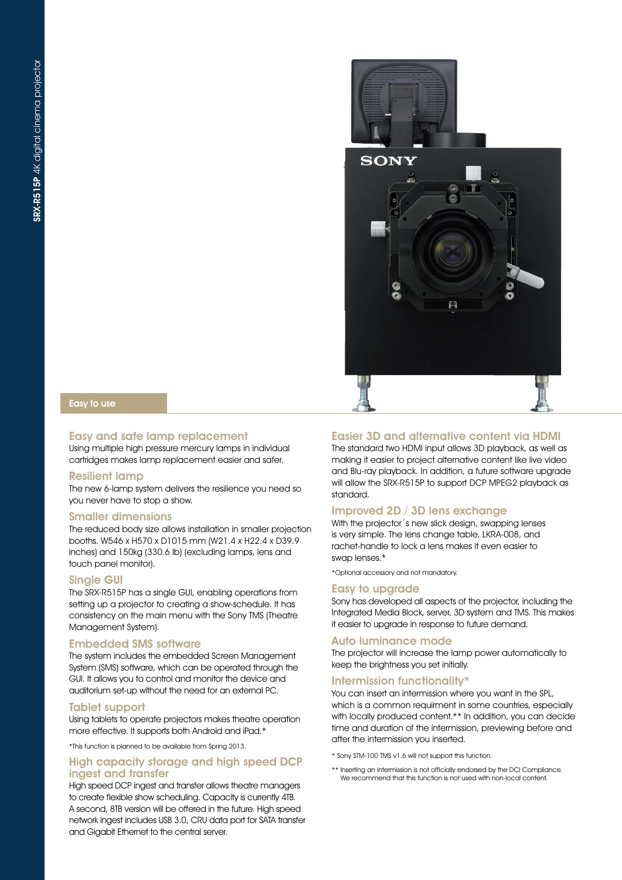

#### Easy to use

#### Easy and safe lamp replacement

Using multiple high pressure mercury lamps in individual cartridges makes lamp replacement easier and safer.

#### Resilient lamp

The new 6-lamp system delivers the resilience you need so you never have to stop a show.

#### Smaller dimensions

The reduced body size allows installation in smaller projection booths. W546 x H570 x D1015 mm (W21.4 x H22.4 x D39.9 inches) and 150kg (330.6 lb) (excluding lamps, lens and touch panel monitor).

#### Single GUI

The SRX-R515P has a single GUI, enabling operations from setting up a projector to creating a show-schedule. It has consistency on the main menu with the Sony TMS (Theatre Management System).

#### Embedded SMS software

The system includes the embedded Screen Management System (SMS) software, which can be operated through the GUI. It allows you to control and monitor the device and auditorium set-up without the need for an external PC.

#### Tablet support

Using tablets to operate projectors makes theatre operation more effective. It supports both Android and iPad.\*

\*This function is planned to be available from Spring 2013.

#### High capacity storage and high speed DCP ingest and transfer

High speed DCP ingest and transfer allows theatre managers to create flexible show scheduling. Capacity is currently 4TB. A second, 8TB version will be offered in the future. High speed network ingest includes USB 3.0, CRU data port for SATA transfer and Gigabit Ethernet to the central server.

#### Easier 3D and alternative content via HDMI

The standard two HDMI input allows 3D playback, as well as making it easier to project alternative content like live video and Blu-ray playback. In addition, a future software upgrade will allow the SRX-R515P to support DCP MPEG2 playback as standard.

#### Improved 2D / 3D lens exchange

With the projector's new slick design, swapping lenses is very simple. The lens change table, LKRA-008, and rachet-handle to lock a lens makes it even easier to swap lenses.\*

\*Optional accessory and not mandatory.

#### Easy to upgrade

Sony has developed all aspects of the projector, including the Integrated Media Block, server, 3D system and TMS. This makes it easier to upgrade in response to future demand.

#### Auto luminance mode

The projector will increase the lamp power automatically to keep the brightness you set initially.

#### Intermission functionality\*

You can insert an intermission where you want in the SPL, which is a common requirment in some countries, especially with locally produced content.\*\* In addition, you can decide time and duration of the intermission, previewing before and after the intermission you inserted.

\* Sony STM-100 TMS v1.6 will not support this function.

\*\* Inserting an intermission is not officially endorsed by the DCI Compliance. We recommend that this function is not used with non-local content.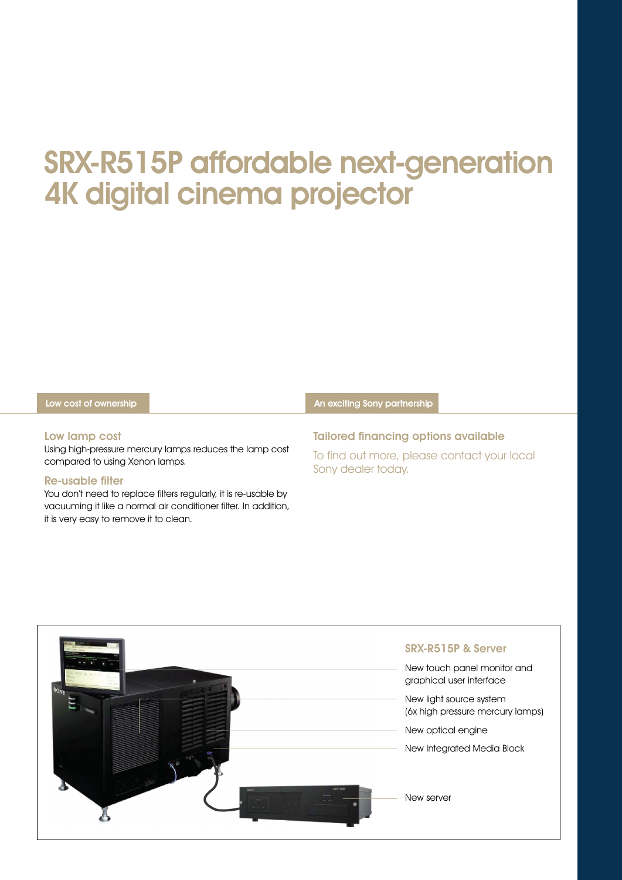## SRX-R515P affordable next-generation 4K digital cinema projector

|  | Low cost of ownership |  | An exciting Sony partnership |  |
|--|-----------------------|--|------------------------------|--|
|--|-----------------------|--|------------------------------|--|

#### Low lamp cost

Using high-pressure mercury lamps reduces the lamp cost compared to using Xenon lamps.

#### Re-usable filter

You don't need to replace filters regularly, it is re-usable by vacuuming it like a normal air conditioner filter. In addition, it is very easy to remove it to clean.

Tailored financing options available

To find out more, please contact your local Sony dealer today.